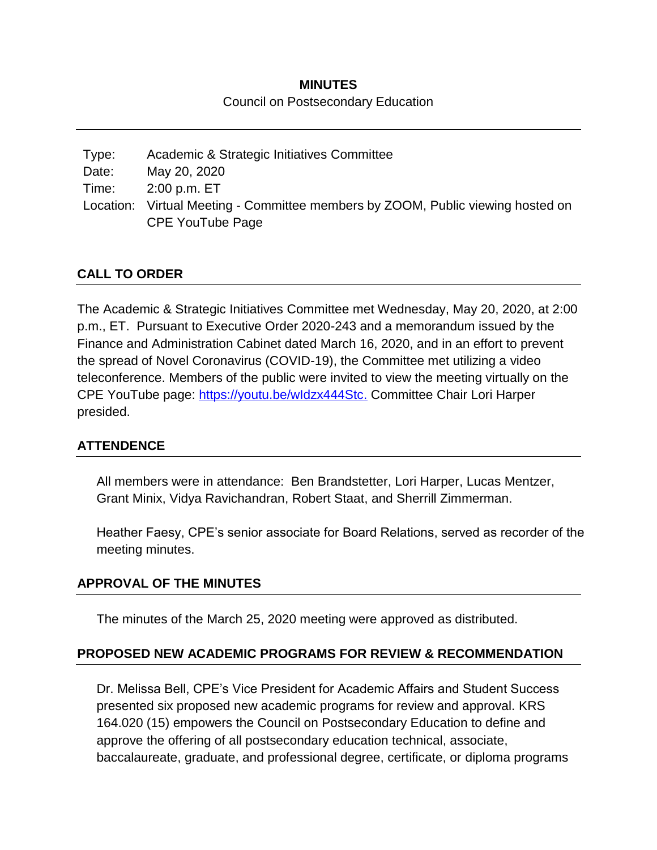## **MINUTES** Council on Postsecondary Education

| Type: | Academic & Strategic Initiatives Committee                                      |
|-------|---------------------------------------------------------------------------------|
| Date: | May 20, 2020                                                                    |
| Time: | 2:00 p.m. ET                                                                    |
|       | Location: Virtual Meeting - Committee members by ZOOM, Public viewing hosted on |
|       | CPE YouTube Page                                                                |

### **CALL TO ORDER**

The Academic & Strategic Initiatives Committee met Wednesday, May 20, 2020, at 2:00 p.m., ET. Pursuant to Executive Order 2020-243 and a memorandum issued by the Finance and Administration Cabinet dated March 16, 2020, and in an effort to prevent the spread of Novel Coronavirus (COVID-19), the Committee met utilizing a video teleconference. Members of the public were invited to view the meeting virtually on the CPE YouTube page: [https://youtu.be/wIdzx444Stc.](https://youtu.be/wIdzx444Stc) Committee Chair Lori Harper presided.

#### **ATTENDENCE**

All members were in attendance: Ben Brandstetter, Lori Harper, Lucas Mentzer, Grant Minix, Vidya Ravichandran, Robert Staat, and Sherrill Zimmerman.

Heather Faesy, CPE's senior associate for Board Relations, served as recorder of the meeting minutes.

#### **APPROVAL OF THE MINUTES**

The minutes of the March 25, 2020 meeting were approved as distributed.

#### **PROPOSED NEW ACADEMIC PROGRAMS FOR REVIEW & RECOMMENDATION**

Dr. Melissa Bell, CPE's Vice President for Academic Affairs and Student Success presented six proposed new academic programs for review and approval. KRS 164.020 (15) empowers the Council on Postsecondary Education to define and approve the offering of all postsecondary education technical, associate, baccalaureate, graduate, and professional degree, certificate, or diploma programs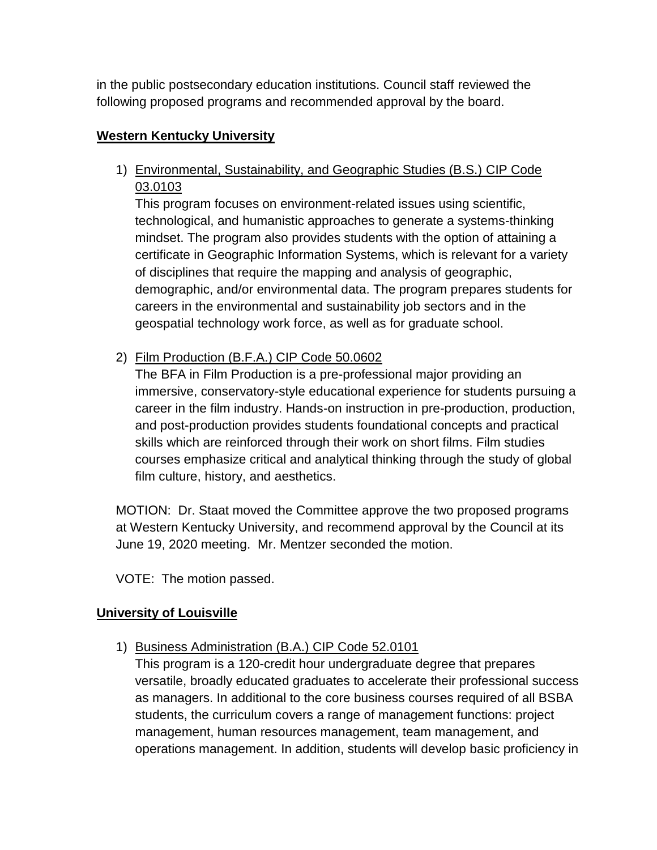in the public postsecondary education institutions. Council staff reviewed the following proposed programs and recommended approval by the board.

## **Western Kentucky University**

1) Environmental, Sustainability, and Geographic Studies (B.S.) CIP Code 03.0103

This program focuses on environment-related issues using scientific, technological, and humanistic approaches to generate a systems-thinking mindset. The program also provides students with the option of attaining a certificate in Geographic Information Systems, which is relevant for a variety of disciplines that require the mapping and analysis of geographic, demographic, and/or environmental data. The program prepares students for careers in the environmental and sustainability job sectors and in the geospatial technology work force, as well as for graduate school.

2) Film Production (B.F.A.) CIP Code 50.0602

The BFA in Film Production is a pre-professional major providing an immersive, conservatory-style educational experience for students pursuing a career in the film industry. Hands-on instruction in pre-production, production, and post-production provides students foundational concepts and practical skills which are reinforced through their work on short films. Film studies courses emphasize critical and analytical thinking through the study of global film culture, history, and aesthetics.

MOTION: Dr. Staat moved the Committee approve the two proposed programs at Western Kentucky University, and recommend approval by the Council at its June 19, 2020 meeting. Mr. Mentzer seconded the motion.

VOTE: The motion passed.

### **University of Louisville**

1) Business Administration (B.A.) CIP Code 52.0101

This program is a 120-credit hour undergraduate degree that prepares versatile, broadly educated graduates to accelerate their professional success as managers. In additional to the core business courses required of all BSBA students, the curriculum covers a range of management functions: project management, human resources management, team management, and operations management. In addition, students will develop basic proficiency in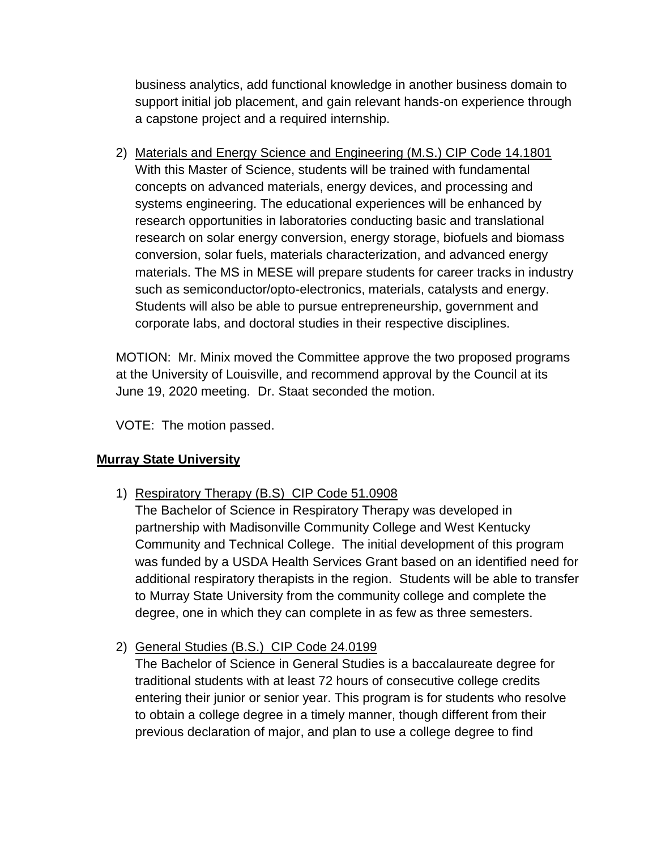business analytics, add functional knowledge in another business domain to support initial job placement, and gain relevant hands-on experience through a capstone project and a required internship.

2) Materials and Energy Science and Engineering (M.S.) CIP Code 14.1801 With this Master of Science, students will be trained with fundamental concepts on advanced materials, energy devices, and processing and systems engineering. The educational experiences will be enhanced by research opportunities in laboratories conducting basic and translational research on solar energy conversion, energy storage, biofuels and biomass conversion, solar fuels, materials characterization, and advanced energy materials. The MS in MESE will prepare students for career tracks in industry such as semiconductor/opto-electronics, materials, catalysts and energy. Students will also be able to pursue entrepreneurship, government and corporate labs, and doctoral studies in their respective disciplines.

MOTION: Mr. Minix moved the Committee approve the two proposed programs at the University of Louisville, and recommend approval by the Council at its June 19, 2020 meeting. Dr. Staat seconded the motion.

VOTE: The motion passed.

# **Murray State University**

- 1) Respiratory Therapy (B.S) CIP Code 51.0908
	- The Bachelor of Science in Respiratory Therapy was developed in partnership with Madisonville Community College and West Kentucky Community and Technical College. The initial development of this program was funded by a USDA Health Services Grant based on an identified need for additional respiratory therapists in the region. Students will be able to transfer to Murray State University from the community college and complete the degree, one in which they can complete in as few as three semesters.
- 2) General Studies (B.S.) CIP Code 24.0199

The Bachelor of Science in General Studies is a baccalaureate degree for traditional students with at least 72 hours of consecutive college credits entering their junior or senior year. This program is for students who resolve to obtain a college degree in a timely manner, though different from their previous declaration of major, and plan to use a college degree to find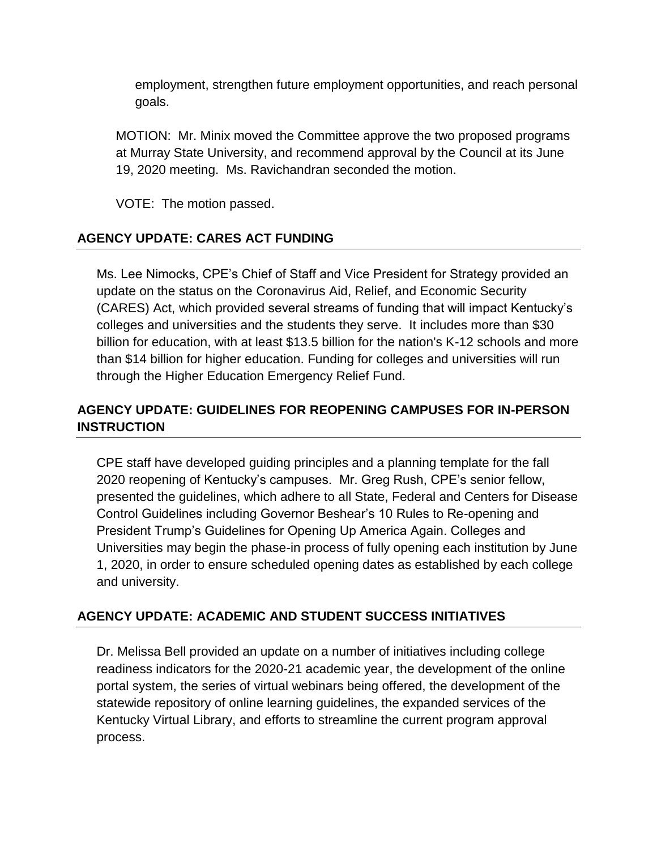employment, strengthen future employment opportunities, and reach personal goals.

MOTION: Mr. Minix moved the Committee approve the two proposed programs at Murray State University, and recommend approval by the Council at its June 19, 2020 meeting. Ms. Ravichandran seconded the motion.

VOTE: The motion passed.

# **AGENCY UPDATE: CARES ACT FUNDING**

Ms. Lee Nimocks, CPE's Chief of Staff and Vice President for Strategy provided an update on the status on the Coronavirus Aid, Relief, and Economic Security (CARES) Act, which provided several streams of funding that will impact Kentucky's colleges and universities and the students they serve. It includes more than \$30 billion for education, with at least \$13.5 billion for the nation's K-12 schools and more than \$14 billion for higher education. Funding for colleges and universities will run through the Higher Education Emergency Relief Fund.

# **AGENCY UPDATE: GUIDELINES FOR REOPENING CAMPUSES FOR IN-PERSON INSTRUCTION**

CPE staff have developed guiding principles and a planning template for the fall 2020 reopening of Kentucky's campuses. Mr. Greg Rush, CPE's senior fellow, presented the guidelines, which adhere to all State, Federal and Centers for Disease Control Guidelines including Governor Beshear's 10 Rules to Re-opening and President Trump's Guidelines for Opening Up America Again. Colleges and Universities may begin the phase-in process of fully opening each institution by June 1, 2020, in order to ensure scheduled opening dates as established by each college and university.

### **AGENCY UPDATE: ACADEMIC AND STUDENT SUCCESS INITIATIVES**

Dr. Melissa Bell provided an update on a number of initiatives including college readiness indicators for the 2020-21 academic year, the development of the online portal system, the series of virtual webinars being offered, the development of the statewide repository of online learning guidelines, the expanded services of the Kentucky Virtual Library, and efforts to streamline the current program approval process.